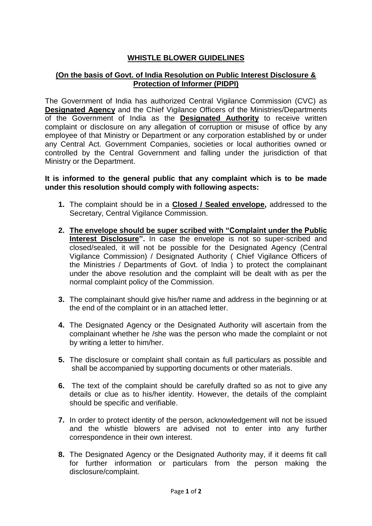## **WHISTLE BLOWER GUIDELINES**

## **(On the basis of Govt. of India Resolution on Public Interest Disclosure & Protection of Informer (PIDPI)**

The Government of India has authorized Central Vigilance Commission (CVC) as **Designated Agency** and the Chief Vigilance Officers of the Ministries/Departments of the Government of India as the **Designated Authority** to receive written complaint or disclosure on any allegation of corruption or misuse of office by any employee of that Ministry or Department or any corporation established by or under any Central Act. Government Companies, societies or local authorities owned or controlled by the Central Government and falling under the jurisdiction of that Ministry or the Department.

## **It is informed to the general public that any complaint which is to be made under this resolution should comply with following aspects:**

- **1.** The complaint should be in a **Closed / Sealed envelope,** addressed to the Secretary, Central Vigilance Commission.
- **2. The envelope should be super scribed with "Complaint under the Public Interest Disclosure".** In case the envelope is not so super-scribed and closed/sealed, it will not be possible for the Designated Agency (Central Vigilance Commission) / Designated Authority ( Chief Vigilance Officers of the Ministries / Departments of Govt. of India ) to protect the complainant under the above resolution and the complaint will be dealt with as per the normal complaint policy of the Commission.
- **3.** The complainant should give his/her name and address in the beginning or at the end of the complaint or in an attached letter.
- **4.** The Designated Agency or the Designated Authority will ascertain from the complainant whether he /she was the person who made the complaint or not by writing a letter to him/her.
- **5.** The disclosure or complaint shall contain as full particulars as possible and shall be accompanied by supporting documents or other materials.
- **6.** The text of the complaint should be carefully drafted so as not to give any details or clue as to his/her identity. However, the details of the complaint should be specific and verifiable.
- **7.** In order to protect identity of the person, acknowledgement will not be issued and the whistle blowers are advised not to enter into any further correspondence in their own interest.
- **8.** The Designated Agency or the Designated Authority may, if it deems fit call for further information or particulars from the person making the disclosure/complaint.